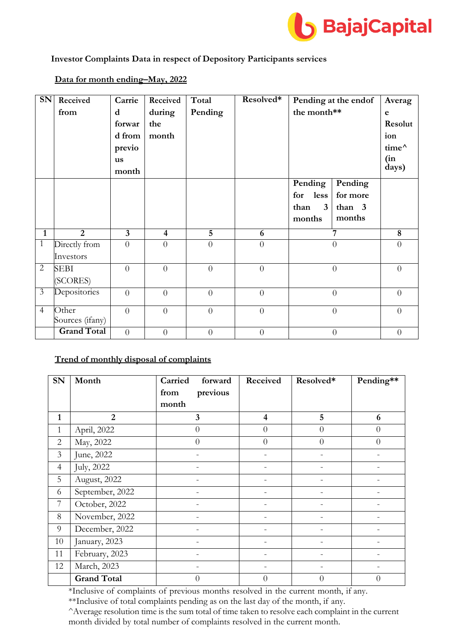

#### **Investor Complaints Data in respect of Depository Participants services**

#### **SN Received from Carrie d forwar d from previo us month Received during the month Total Pending Resolved\* Pending at the endof the month\*\* Averag e Resolut ion time^ (in days) Pending for less than 3 months Pending for more than 3 months 1 2 3 4 5 6 7 8** 1 Directly from Investors  $0 \qquad 0 \qquad 0 \qquad 0 \qquad 0 \qquad 0 \qquad 0$ 2 SEBI (SCORES)  $0 \qquad 0 \qquad 0 \qquad 0 \qquad 0 \qquad 0 \qquad 0$  $\overline{3}$  Depositories  $\overline{0}$  0 0 0 0 0 0 0 0 4 Other Sources (ifany)  $0 \qquad 0 \qquad 0 \qquad 0 \qquad 0 \qquad 0 \qquad 0$ **Grand Total** 0 0 0 0 0 0 0 0 0 0

## **Data for month ending–May, 2022**

## **Trend of monthly disposal of complaints**

| SN             | Month              | Carried<br>forward | Received       | Resolved*      | Pending**      |
|----------------|--------------------|--------------------|----------------|----------------|----------------|
|                |                    | previous<br>from   |                |                |                |
|                |                    | month              |                |                |                |
| $\mathbf{1}$   | $\overline{2}$     | 3                  | $\overline{4}$ | 5              | 6              |
| $\mathbf{1}$   | April, 2022        | $\overline{0}$     | $\Omega$       | $\theta$       | $\Omega$       |
| $\overline{2}$ | May, 2022          | $\overline{0}$     | $\overline{0}$ | $\overline{0}$ | $\overline{0}$ |
| $\overline{3}$ | June, 2022         |                    |                |                |                |
| $\overline{4}$ | July, 2022         |                    |                |                |                |
| 5              | August, 2022       |                    |                |                |                |
| 6              | September, 2022    |                    |                |                |                |
| 7              | October, 2022      |                    |                |                |                |
| 8              | November, 2022     |                    |                |                |                |
| 9              | December, 2022     |                    |                |                |                |
| 10             | January, 2023      |                    |                |                |                |
| 11             | February, 2023     |                    |                |                |                |
| 12             | March, 2023        |                    |                |                |                |
|                | <b>Grand Total</b> | $\overline{0}$     | $\Omega$       | $\overline{0}$ | 0              |

\*Inclusive of complaints of previous months resolved in the current month, if any.

\*\*Inclusive of total complaints pending as on the last day of the month, if any.

^Average resolution time is the sum total of time taken to resolve each complaint in the current month divided by total number of complaints resolved in the current month.